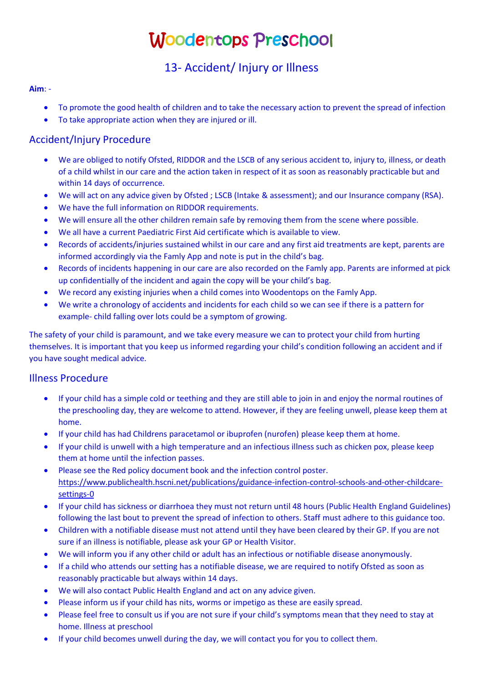# Woodentops Preschool

# 13- Accident/ Injury or Illness

#### **Aim**: -

- To promote the good health of children and to take the necessary action to prevent the spread of infection
- To take appropriate action when they are injured or ill.

## Accident/Injury Procedure

- We are obliged to notify Ofsted, RIDDOR and the LSCB of any serious accident to, injury to, illness, or death of a child whilst in our care and the action taken in respect of it as soon as reasonably practicable but and within 14 days of occurrence.
- We will act on any advice given by Ofsted ; LSCB (Intake & assessment); and our Insurance company (RSA).
- We have the full information on RIDDOR requirements.
- We will ensure all the other children remain safe by removing them from the scene where possible.
- We all have a current Paediatric First Aid certificate which is available to view.
- Records of accidents/injuries sustained whilst in our care and any first aid treatments are kept, parents are informed accordingly via the Famly App and note is put in the child's bag.
- Records of incidents happening in our care are also recorded on the Famly app. Parents are informed at pick up confidentially of the incident and again the copy will be your child's bag.
- We record any existing injuries when a child comes into Woodentops on the Famly App.
- We write a chronology of accidents and incidents for each child so we can see if there is a pattern for example- child falling over lots could be a symptom of growing.

The safety of your child is paramount, and we take every measure we can to protect your child from hurting themselves. It is important that you keep us informed regarding your child's condition following an accident and if you have sought medical advice.

### Illness Procedure

- If your child has a simple cold or teething and they are still able to join in and enjoy the normal routines of the preschooling day, they are welcome to attend. However, if they are feeling unwell, please keep them at home.
- If your child has had Childrens paracetamol or ibuprofen (nurofen) please keep them at home.
- If your child is unwell with a high temperature and an infectious illness such as chicken pox, please keep them at home until the infection passes.
- Please see the Red policy document book and the infection control poster. https://www.publichealth.hscni.net/publications/guidance-infection-control-schools-and-other-childcaresettings-0
- If your child has sickness or diarrhoea they must not return until 48 hours (Public Health England Guidelines) following the last bout to prevent the spread of infection to others. Staff must adhere to this guidance too.
- Children with a notifiable disease must not attend until they have been cleared by their GP. If you are not sure if an illness is notifiable, please ask your GP or Health Visitor.
- We will inform you if any other child or adult has an infectious or notifiable disease anonymously.
- If a child who attends our setting has a notifiable disease, we are required to notify Ofsted as soon as reasonably practicable but always within 14 days.
- We will also contact Public Health England and act on any advice given.
- Please inform us if your child has nits, worms or impetigo as these are easily spread.
- Please feel free to consult us if you are not sure if your child's symptoms mean that they need to stay at home. Illness at preschool
- If your child becomes unwell during the day, we will contact you for you to collect them.